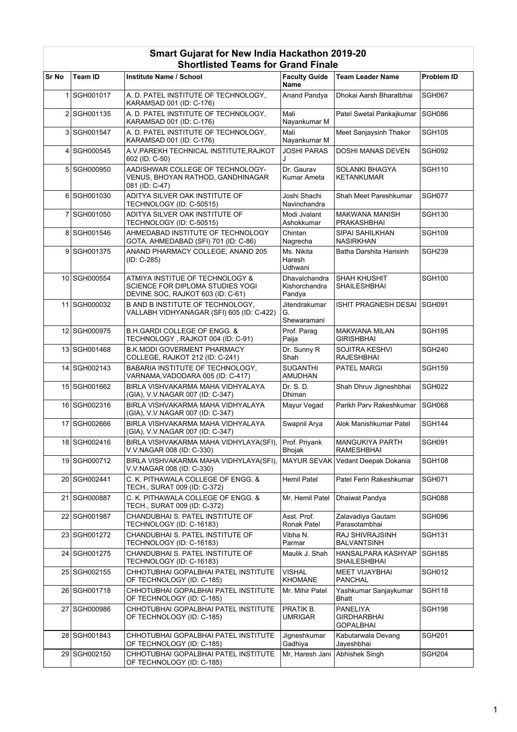|       |                | Siloruisted Tealiis for Grand Finale                                                                     |                                          |                                                    |                   |
|-------|----------------|----------------------------------------------------------------------------------------------------------|------------------------------------------|----------------------------------------------------|-------------------|
| Sr No | <b>Team ID</b> | Institute Name / School                                                                                  | <b>Faculty Guide</b><br>Name             | <b>Team Leader Name</b>                            | <b>Problem ID</b> |
|       | 1 SGH001017    | A. D. PATEL INSTITUTE OF TECHNOLOGY,<br>KARAMSAD 001 (ID: C-176)                                         | Anand Pandya                             | Dhokai Aarsh Bharatbhai                            | SGH067            |
|       | 2 SGH001135    | A. D. PATEL INSTITUTE OF TECHNOLOGY,<br>KARAMSAD 001 (ID: C-176)                                         | Mali<br>Nayankumar M                     | Patel Swetal Pankajkumar                           | SGH086            |
|       | 3 SGH001547    | A. D. PATEL INSTITUTE OF TECHNOLOGY,<br>KARAMSAD 001 (ID: C-176)                                         | Mali<br>Nayankumar M                     | Meet Sanjaysinh Thakor                             | <b>SGH105</b>     |
|       | 4 SGH000545    | A.V. PAREKH TECHNICAL INSTITUTE, RAJKOT<br>602 (ID: C-50)                                                | <b>JOSHI PARAS</b><br>J                  | <b>DOSHI MANAS DEVEN</b>                           | SGH092            |
|       | 5 SGH000950    | AADISHWAR COLLEGE OF TECHNOLOGY-<br>VENUS, BHOYAN RATHOD, GANDHINAGAR<br>081 (ID: C-47)                  | Dr. Gaurav<br>Kumar Ameta                | <b>SOLANKI BHAGYA</b><br><b>KETANKUMAR</b>         | <b>SGH110</b>     |
|       | 6 SGH001030    | ADITYA SILVER OAK INSTITUTE OF<br>TECHNOLOGY (ID: C-50515)                                               | Joshi Shachi<br>Navinchandra             | Shah Meet Pareshkumar                              | SGH077            |
|       | 7 SGH001050    | ADITYA SILVER OAK INSTITUTE OF<br>TECHNOLOGY (ID: C-50515)                                               | Modi Jvalant<br>Ashokkumar               | <b>MAKWANA MANISH</b><br>PRAKASHBHAI               | <b>SGH130</b>     |
|       | 8 SGH001546    | AHMEDABAD INSTITUTE OF TECHNOLOGY<br>GOTA, AHMEDABAD (SFI) 701 (ID: C-86)                                | Chintan<br>Nagrecha                      | SIPAI SAHILKHAN<br><b>NASIRKHAN</b>                | <b>SGH109</b>     |
|       | 9 SGH001375    | ANAND PHARMACY COLLEGE, ANAND 205<br>(ID: C-285)                                                         | Ms. Nikita<br>Haresh<br>Udhwani          | Batha Darshita Harisinh                            | <b>SGH239</b>     |
|       | 10 SGH000554   | ATMIYA INSTITUE OF TECHNOLOGY &<br>SCIENCE FOR DIPLOMA STUDIES YOGI<br>DEVINE SOC, RAJKOT 603 (ID: C-61) | Dhavalchandra<br>Kishorchandra<br>Pandya | <b>SHAH KHUSHIT</b><br>SHAILESHBHAI                | <b>SGH100</b>     |
|       | 11 SGH000032   | <b>B AND B INSTITUTE OF TECHNOLOGY.</b><br>VALLABH VIDHYANAGAR (SFI) 605 (ID: C-422)                     | Jitendrakumar<br>G.<br>Shewaramani       | ISHIT PRAGNESH DESAI                               | <b>SGH091</b>     |
|       | 12 SGH000975   | <b>B.H.GARDI COLLEGE OF ENGG. &amp;</b><br>TECHNOLOGY, RAJKOT 004 (ID: C-91)                             | Prof. Parag<br>Paija                     | <b>MAKWANA MILAN</b><br><b>GIRISHBHAI</b>          | <b>SGH195</b>     |
|       | 13 SGH001468   | <b>B.K.MODI GOVERMENT PHARMACY</b><br>COLLEGE, RAJKOT 212 (ID: C-241)                                    | Dr. Sunny R<br>Shah                      | SOJITRA KESHVI<br><b>RAJESHBHAI</b>                | <b>SGH240</b>     |
|       | 14 SGH002143   | BABARIA INSTITUTE OF TECHNOLOGY,<br>VARNAMA, VADODARA 005 (ID: C-417)                                    | <b>SUGANTHI</b><br>AMUDHAN               | PATEL MARGI                                        | <b>SGH159</b>     |
|       | 15 SGH001662   | BIRLA VISHVAKARMA MAHA VIDHYALAYA<br>(GIA), V.V. NAGAR 007 (ID: C-347)                                   | Dr. S. D.<br>Dhiman                      | Shah Dhruv Jigneshbhai                             | <b>SGH022</b>     |
|       | 16 SGH002316   | BIRLA VISHVAKARMA MAHA VIDHYALAYA<br>(GIA), V.V.NAGAR 007 (ID: C-347)                                    | Mayur Vegad                              | Parikh Parv Rakeshkumar                            | <b>SGH068</b>     |
|       | 17 SGH002666   | BIRLA VISHVAKARMA MAHA VIDHYALAYA<br>(GIA), V.V.NAGAR 007 (ID: C-347)                                    | Swapnil Arya                             | Alok Manishkumar Patel                             | <b>SGH144</b>     |
|       | 18 SGH002416   | BIRLA VISHVAKARMA MAHA VIDHYLAYA(SFI),<br>V.V.NAGAR 008 (ID: C-330)                                      | Prof. Priyank<br>Bhojak                  | MANGUKIYA PARTH<br><b>RAMESHBHAI</b>               | <b>SGH091</b>     |
|       | 19 SGH000712   | BIRLA VISHVAKARMA MAHA VIDHYLAYA(SFI),<br>V.V.NAGAR 008 (ID: C-330)                                      |                                          | MAYUR SEVAK Vedant Deepak Dokania                  | <b>SGH108</b>     |
|       | 20 SGH002441   | C. K. PITHAWALA COLLEGE OF ENGG. &<br>TECH., SURAT 009 (ID: C-372)                                       | Hemil Patel                              | Patel Ferin Rakeshkumar                            | <b>SGH071</b>     |
|       | 21 SGH000887   | C. K. PITHAWALA COLLEGE OF ENGG. &<br>TECH., SURAT 009 (ID: C-372)                                       | Mr. Hemil Patel                          | Dhaiwat Pandya                                     | SGH088            |
|       | 22 SGH001987   | CHANDUBHAI S. PATEL INSTITUTE OF<br>TECHNOLOGY (ID: C-16183)                                             | Asst. Prof.<br>Ronak Patel               | Zalavadiya Gautam<br>Parasotambhai                 | SGH096            |
|       | 23 SGH001272   | CHANDUBHAI S. PATEL INSTITUTE OF<br>TECHNOLOGY (ID: C-16183)                                             | Vibha N.<br>Parmar                       | RAJ SHIVRAJSINH<br>BALVANTSINH                     | <b>SGH131</b>     |
|       | 24 SGH001275   | CHANDUBHAI S. PATEL INSTITUTE OF<br>TECHNOLOGY (ID: C-16183)                                             | Maulik J. Shah                           | <b>HANSALPARA KASHYAP</b><br>SHAILESHBHAI          | <b>SGH185</b>     |
|       | 25 SGH002155   | CHHOTUBHAI GOPALBHAI PATEL INSTITUTE<br>OF TECHNOLOGY (ID: C-185)                                        | <b>VISHAL</b><br><b>KHOMANE</b>          | <b>MEET VIJAYBHAI</b><br><b>PANCHAL</b>            | <b>SGH012</b>     |
|       | 26 SGH001718   | CHHOTUBHAI GOPALBHAI PATEL INSTITUTE<br>OF TECHNOLOGY (ID: C-185)                                        | Mr. Mihir Patel                          | Yashkumar Sanjaykumar<br>Bhatt                     | <b>SGH118</b>     |
|       | 27 SGH000986   | CHHOTUBHAI GOPALBHAI PATEL INSTITUTE<br>OF TECHNOLOGY (ID: C-185)                                        | PRATIK B.<br><b>UMRIGAR</b>              | <b>PANELIYA</b><br>GIRDHARBHAI<br><b>GOPALBHAI</b> | <b>SGH198</b>     |
|       | 28 SGH001843   | CHHOTUBHAI GOPALBHAI PATEL INSTITUTE<br>OF TECHNOLOGY (ID: C-185)                                        | Jigneshkumar<br>Gadhiya                  | Kabutarwala Devang<br>Jayeshbhai                   | <b>SGH201</b>     |
|       | 29 SGH002150   | CHHOTUBHAI GOPALBHAI PATEL INSTITUTE<br>OF TECHNOLOGY (ID: C-185)                                        | Mr, Haresh Jani                          | Abhishek Singh                                     | <b>SGH204</b>     |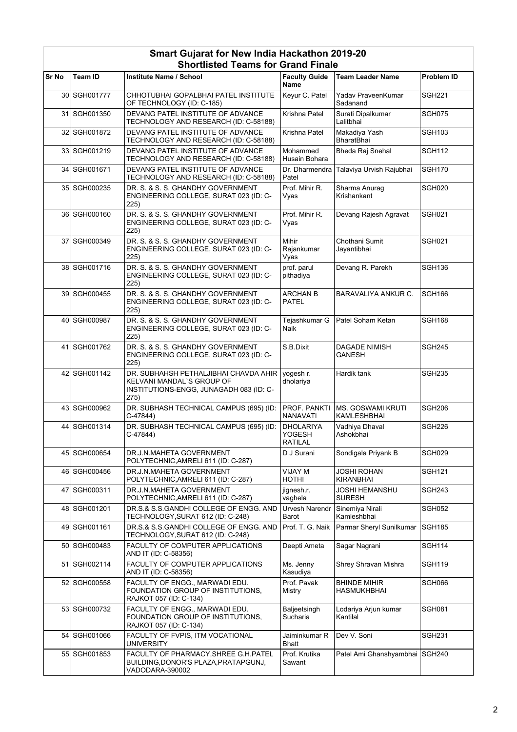|       |                | onortiisted Teams for Grand Finale                                                                                    |                                                     |                                         |                    |
|-------|----------------|-----------------------------------------------------------------------------------------------------------------------|-----------------------------------------------------|-----------------------------------------|--------------------|
| Sr No | Team ID        | Institute Name / School                                                                                               | <b>Faculty Guide</b><br>Name                        | <b>Team Leader Name</b>                 | <b>Problem ID</b>  |
|       | 30 SGH001777   | CHHOTUBHAI GOPALBHAI PATEL INSTITUTE<br>OF TECHNOLOGY (ID: C-185)                                                     | Keyur C. Patel                                      | Yadav PraveenKumar<br>Sadanand          | <b>SGH221</b>      |
|       | 31 SGH001350   | DEVANG PATEL INSTITUTE OF ADVANCE<br>TECHNOLOGY AND RESEARCH (ID: C-58188)                                            | Krishna Patel                                       | Surati Dipalkumar<br>Lalitbhai          | <b>SGH075</b>      |
|       | 32 SGH001872   | DEVANG PATEL INSTITUTE OF ADVANCE<br>TECHNOLOGY AND RESEARCH (ID: C-58188)                                            | Krishna Patel                                       | Makadiya Yash<br><b>BharatBhai</b>      | <b>SGH103</b>      |
|       | 33 SGH001219   | DEVANG PATEL INSTITUTE OF ADVANCE<br>TECHNOLOGY AND RESEARCH (ID: C-58188)                                            | Mohammed<br>Husain Bohara                           | Bheda Raj Snehal                        | <b>SGH112</b>      |
|       | 34 SGH001671   | DEVANG PATEL INSTITUTE OF ADVANCE<br>TECHNOLOGY AND RESEARCH (ID: C-58188)                                            | Dr. Dharmendra<br>Patel                             | Talaviya Urvish Rajubhai                | <b>SGH170</b>      |
|       | 35 SGH000235   | DR. S. & S. S. GHANDHY GOVERNMENT<br>ENGINEERING COLLEGE, SURAT 023 (ID: C-<br>225)                                   | Prof. Mihir R.<br>Vyas                              | Sharma Anurag<br>Krishankant            | SGH020             |
|       | 36 SGH000160   | DR. S. & S. S. GHANDHY GOVERNMENT<br>ENGINEERING COLLEGE, SURAT 023 (ID: C-<br>225)                                   | Prof. Mihir R.<br>Vyas                              | Devang Rajesh Agravat                   | <b>SGH021</b>      |
|       | 37 SGH000349   | DR. S. & S. S. GHANDHY GOVERNMENT<br>ENGINEERING COLLEGE, SURAT 023 (ID: C-<br>225)                                   | <b>Mihir</b><br>Rajankumar<br>Vyas                  | Chothani Sumit<br>Jayantibhai           | <b>SGH021</b>      |
|       | 38 SGH001716   | DR. S. & S. S. GHANDHY GOVERNMENT<br>ENGINEERING COLLEGE, SURAT 023 (ID: C-<br>225)                                   | prof. parul<br>pithadiya                            | Devang R. Parekh                        | <b>SGH136</b>      |
|       | 39 SGH000455   | DR. S. & S. S. GHANDHY GOVERNMENT<br>ENGINEERING COLLEGE, SURAT 023 (ID: C-<br>225)                                   | <b>ARCHAN B</b><br><b>PATEL</b>                     | <b>BARAVALIYA ANKUR C.</b>              | SGH <sub>166</sub> |
|       | 40 SGH000987   | DR. S. & S. S. GHANDHY GOVERNMENT<br>ENGINEERING COLLEGE, SURAT 023 (ID: C-<br>225)                                   | Tejashkumar G<br>Naik                               | Patel Soham Ketan                       | <b>SGH168</b>      |
|       | 41   SGH001762 | DR. S. & S. S. GHANDHY GOVERNMENT<br>ENGINEERING COLLEGE, SURAT 023 (ID: C-<br>225)                                   | S.B.Dixit                                           | DAGADE NIMISH<br>GANESH                 | <b>SGH245</b>      |
|       | 42 SGH001142   | DR. SUBHAHSH PETHALJIBHAI CHAVDA AHIR<br>KELVANI MANDAL`S GROUP OF<br>INSTITUTIONS-ENGG, JUNAGADH 083 (ID: C-<br>275) | yogesh r.<br>dholariya                              | Hardik tank                             | <b>SGH235</b>      |
|       | 43 SGH000962   | DR. SUBHASH TECHNICAL CAMPUS (695) (ID:<br>C-47844)                                                                   | PROF. PANKTI<br><b>NANAVATI</b>                     | <b>MS. GOSWAMI KRUTI</b><br>KAMLESHBHAI | <b>SGH206</b>      |
|       | 44 SGH001314   | DR. SUBHASH TECHNICAL CAMPUS (695) (ID:<br>$C-47844$                                                                  | <b>DHOLARIYA</b><br><b>YOGESH</b><br><b>RATILAL</b> | Vadhiya Dhaval<br>Ashokbhai             | SGH <sub>226</sub> |
|       | 45 SGH000654   | DR J N MAHETA GOVERNMENT<br>POLYTECHNIC, AMRELI 611 (ID: C-287)                                                       | D J Surani                                          | Sondigala Priyank B                     | SGH029             |
|       | 46 SGH000456   | DR.J.N.MAHETA GOVERNMENT<br>POLYTECHNIC, AMRELI 611 (ID: C-287)                                                       | VIJAY M<br><b>HOTHI</b>                             | JOSHI ROHAN<br><b>KIRANBHAI</b>         | <b>SGH121</b>      |
|       | 47 SGH000311   | DR.J.N.MAHETA GOVERNMENT<br>POLYTECHNIC, AMRELI 611 (ID: C-287)                                                       | jignesh.r.<br>vaghela                               | JOSHI HEMANSHU<br><b>SURESH</b>         | <b>SGH243</b>      |
|       | 48 SGH001201   | DR.S.& S.S.GANDHI COLLEGE OF ENGG. AND<br>TECHNOLOGY, SURAT 612 (ID: C-248)                                           | Urvesh Narendr<br>Barot                             | Sinemiya Nirali<br>Kamleshbhai          | <b>SGH052</b>      |
|       | 49 SGH001161   | DR.S.& S.S.GANDHI COLLEGE OF ENGG. AND<br>TECHNOLOGY, SURAT 612 (ID: C-248)                                           | Prof. T. G. Naik                                    | Parmar Sheryl Sunilkumar                | <b>SGH185</b>      |
|       | 50 SGH000483   | FACULTY OF COMPUTER APPLICATIONS<br>AND IT (ID: C-58356)                                                              | Deepti Ameta                                        | Sagar Nagrani                           | <b>SGH114</b>      |
|       | 51 SGH002114   | FACULTY OF COMPUTER APPLICATIONS<br>AND IT (ID: C-58356)                                                              | Ms. Jenny<br>Kasudiya                               | Shrey Shravan Mishra                    | <b>SGH119</b>      |
|       | 52 SGH000558   | FACULTY OF ENGG., MARWADI EDU.<br>FOUNDATION GROUP OF INSTITUTIONS,<br>RAJKOT 057 (ID: C-134)                         | Prof. Pavak<br>Mistry                               | <b>BHINDE MIHIR</b><br>HASMUKHBHAI      | SGH066             |
|       | 53 SGH000732   | FACULTY OF ENGG., MARWADI EDU.<br>FOUNDATION GROUP OF INSTITUTIONS,<br>RAJKOT 057 (ID: C-134)                         | Baljeetsingh<br>Sucharia                            | Lodariya Arjun kumar<br>Kantilal        | <b>SGH081</b>      |
|       | 54 SGH001066   | FACULTY OF FVPIS, ITM VOCATIONAL<br><b>UNIVERSITY</b>                                                                 | Jaiminkumar R<br><b>Bhatt</b>                       | Dev V. Soni                             | <b>SGH231</b>      |
|       | 55 SGH001853   | FACULTY OF PHARMACY, SHREE G.H. PATEL<br>BUILDING, DONOR'S PLAZA, PRATAPGUNJ,<br>VADODARA-390002                      | Prof. Krutika<br>Sawant                             | Patel Ami Ghanshyambhai                 | <b>SGH240</b>      |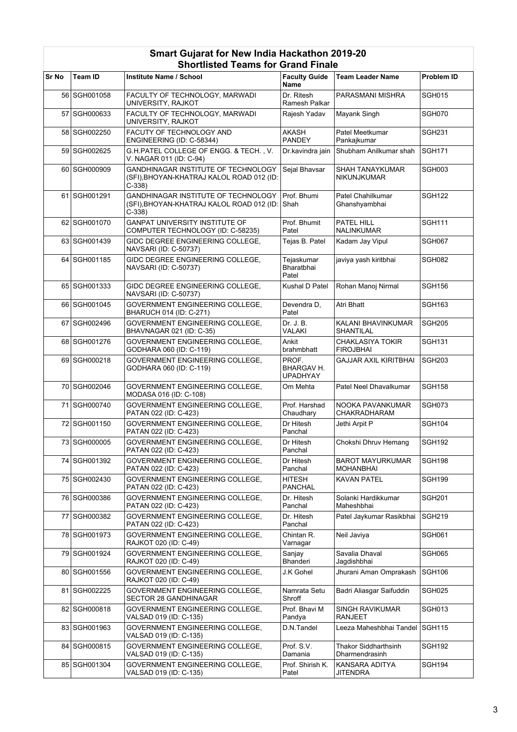|              |              | Silvitiisteu Tealiis IVI Grafiu Filiale                                                     |                                        |                                               |               |
|--------------|--------------|---------------------------------------------------------------------------------------------|----------------------------------------|-----------------------------------------------|---------------|
| <b>Sr No</b> | Team ID      | <b>Institute Name / School</b>                                                              | <b>Faculty Guide</b><br><b>Name</b>    | <b>Team Leader Name</b>                       | Problem ID    |
|              | 56 SGH001058 | FACULTY OF TECHNOLOGY, MARWADI<br>UNIVERSITY, RAJKOT                                        | Dr. Ritesh<br>Ramesh Palkar            | PARASMANI MISHRA                              | <b>SGH015</b> |
|              | 57 SGH000633 | FACULTY OF TECHNOLOGY, MARWADI<br>UNIVERSITY, RAJKOT                                        | Rajesh Yadav                           | Mayank Singh                                  | <b>SGH070</b> |
|              | 58 SGH002250 | FACUTY OF TECHNOLOGY AND<br>ENGINEERING (ID: C-58344)                                       | AKASH<br><b>PANDEY</b>                 | Patel Meetkumar<br>Pankajkumar                | <b>SGH231</b> |
|              | 59 SGH002625 | G.H.PATEL COLLEGE OF ENGG. & TECH., V.<br>V. NAGAR 011 (ID: C-94)                           | Dr.kavindra jain                       | Shubham Anilkumar shah                        | <b>SGH171</b> |
|              | 60 SGH000909 | GANDHINAGAR INSTITUTE OF TECHNOLOGY<br>(SFI), BHOYAN-KHATRAJ KALOL ROAD 012 (ID:<br>C-338)  | Sejal Bhavsar                          | <b>SHAH TANAYKUMAR</b><br><b>NIKUNJKUMAR</b>  | SGH003        |
|              | 61 SGH001291 | GANDHINAGAR INSTITUTE OF TECHNOLOGY<br>(SFI), BHOYAN-KHATRAJ KALOL ROAD 012 (ID:<br>$C-338$ | Prof. Bhumi<br>Shah                    | Patel Chahilkumar<br>Ghanshyambhai            | <b>SGH122</b> |
|              | 62 SGH001070 | GANPAT UNIVERSITY INSTITUTE OF<br>COMPUTER TECHNOLOGY (ID: C-58235)                         | Prof. Bhumit<br>Patel                  | PATEL HILL<br><b>NALINKUMAR</b>               | <b>SGH111</b> |
|              | 63 SGH001439 | GIDC DEGREE ENGINEERING COLLEGE.<br>NAVSARI (ID: C-50737)                                   | Tejas B. Patel                         | Kadam Jay Vipul                               | <b>SGH067</b> |
|              | 64 SGH001185 | GIDC DEGREE ENGINEERING COLLEGE,<br>NAVSARI (ID: C-50737)                                   | Tejaskumar<br>Bharatbhai<br>Patel      | javiya yash kiritbhai                         | SGH082        |
|              | 65 SGH001333 | GIDC DEGREE ENGINEERING COLLEGE,<br>NAVSARI (ID: C-50737)                                   | Kushal D Patel                         | Rohan Manoj Nirmal                            | <b>SGH156</b> |
|              | 66 SGH001045 | GOVERNMENT ENGINEERING COLLEGE,<br>BHARUCH 014 (ID: C-271)                                  | Devendra D,<br>Patel                   | Atri Bhatt                                    | <b>SGH163</b> |
|              | 67 SGH002496 | GOVERNMENT ENGINEERING COLLEGE,<br>BHAVNAGAR 021 (ID: C-35)                                 | Dr. J. B.<br><b>VALAKI</b>             | KALANI BHAVINKUMAR<br>SHANTILAL               | <b>SGH205</b> |
|              | 68 SGH001276 | GOVERNMENT ENGINEERING COLLEGE,<br>GODHARA 060 (ID: C-119)                                  | Ankit<br>brahmbhatt                    | <b>CHAKLASIYA TOKIR</b><br><b>FIROJBHAI</b>   | <b>SGH131</b> |
|              | 69 SGH000218 | GOVERNMENT ENGINEERING COLLEGE,<br>GODHARA 060 (ID: C-119)                                  | PROF.<br>BHARGAV H.<br><b>UPADHYAY</b> | <b>GAJJAR AXIL KIRITBHAI</b>                  | <b>SGH203</b> |
|              | 70 SGH002046 | GOVERNMENT ENGINEERING COLLEGE,<br>MODASA 016 (ID: C-108)                                   | Om Mehta                               | Patel Neel Dhavalkumar                        | <b>SGH158</b> |
|              | 71 SGH000740 | GOVERNMENT ENGINEERING COLLEGE,<br>PATAN 022 (ID: C-423)                                    | Prof. Harshad<br>Chaudhary             | NOOKA PAVANKUMAR<br><b>CHAKRADHARAM</b>       | SGH073        |
|              | 72 SGH001150 | <b>GOVERNMENT ENGINEERING COLLEGE,</b><br>PATAN 022 (ID: C-423)                             | Dr Hitesh<br>Panchal                   | Jethi Arpit P                                 | <b>SGH104</b> |
|              | 73 SGH000005 | GOVERNMENT ENGINEERING COLLEGE,<br>PATAN 022 (ID: C-423)                                    | Dr Hitesh<br>Panchal                   | Chokshi Dhruv Hemang                          | SGH192        |
|              | 74 SGH001392 | GOVERNMENT ENGINEERING COLLEGE,<br>PATAN 022 (ID: C-423)                                    | Dr Hitesh<br>Panchal                   | <b>BAROT MAYURKUMAR</b><br>MOHANBHAI          | <b>SGH198</b> |
|              | 75 SGH002430 | GOVERNMENT ENGINEERING COLLEGE,<br>PATAN 022 (ID: C-423)                                    | <b>HITESH</b><br><b>PANCHAL</b>        | <b>KAVAN PATEL</b>                            | <b>SGH199</b> |
|              | 76 SGH000386 | GOVERNMENT ENGINEERING COLLEGE.<br>PATAN 022 (ID: C-423)                                    | Dr. Hitesh<br>Panchal                  | Solanki Hardikkumar<br>Maheshbhai             | <b>SGH201</b> |
|              | 77 SGH000382 | GOVERNMENT ENGINEERING COLLEGE.<br>PATAN 022 (ID: C-423)                                    | Dr. Hitesh<br>Panchal                  | Patel Jaykumar Rasikbhai                      | <b>SGH219</b> |
|              | 78 SGH001973 | GOVERNMENT ENGINEERING COLLEGE,<br>RAJKOT 020 (ID: C-49)                                    | Chintan R.<br>Varnagar                 | Neil Javiya                                   | SGH061        |
|              | 79 SGH001924 | GOVERNMENT ENGINEERING COLLEGE,<br>RAJKOT 020 (ID: C-49)                                    | Sanjay<br>Bhanderi                     | Savalia Dhaval<br>Jagdishbhai                 | <b>SGH065</b> |
|              | 80 SGH001556 | GOVERNMENT ENGINEERING COLLEGE,<br>RAJKOT 020 (ID: C-49)                                    | J.K Gohel                              | Jhurani Aman Omprakash                        | <b>SGH106</b> |
|              | 81 SGH002225 | GOVERNMENT ENGINEERING COLLEGE.<br>SECTOR 28 GANDHINAGAR                                    | Namrata Setu<br>Shroff                 | Badri Aliasgar Saifuddin                      | SGH025        |
|              | 82 SGH000818 | GOVERNMENT ENGINEERING COLLEGE,<br>VALSAD 019 (ID: C-135)                                   | Prof. Bhavi M<br>Pandya                | <b>SINGH RAVIKUMAR</b><br><b>RANJEET</b>      | SGH013        |
|              | 83 SGH001963 | GOVERNMENT ENGINEERING COLLEGE,<br>VALSAD 019 (ID: C-135)                                   | D.N.Tandel                             | Leeza Maheshbhai Tandel SGH115                |               |
|              | 84 SGH000815 | GOVERNMENT ENGINEERING COLLEGE.<br>VALSAD 019 (ID: C-135)                                   | Prof. S.V.<br>Damania                  | <b>Thakor Siddharthsinh</b><br>Dharmendrasinh | SGH192        |
|              | 85 SGH001304 | GOVERNMENT ENGINEERING COLLEGE.<br>VALSAD 019 (ID: C-135)                                   | Prof. Shirish K.<br>Patel              | KANSARA ADITYA<br><b>JITENDRA</b>             | SGH194        |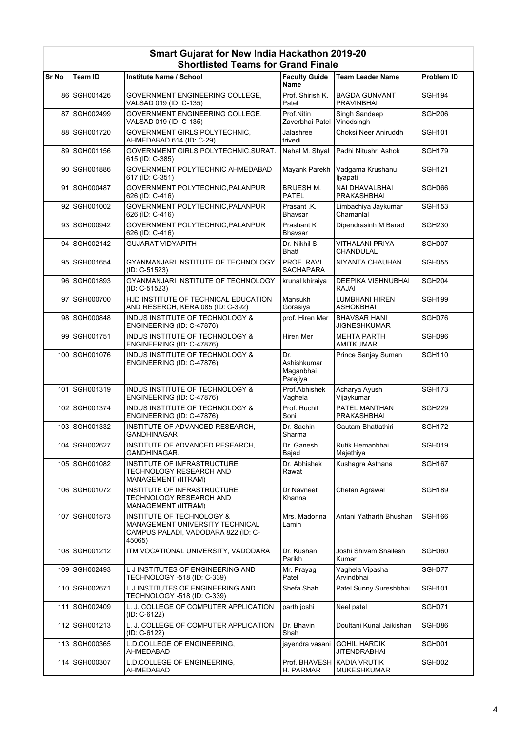|       |               | Silvitiisteu Tealiis IVI Grafiu Filiale                                                                                  |                                             |                                            |               |
|-------|---------------|--------------------------------------------------------------------------------------------------------------------------|---------------------------------------------|--------------------------------------------|---------------|
| Sr No | Team ID       | Institute Name / School                                                                                                  | <b>Faculty Guide</b><br>Name                | <b>Team Leader Name</b>                    | Problem ID    |
|       | 86 SGH001426  | GOVERNMENT ENGINEERING COLLEGE.<br>VALSAD 019 (ID: C-135)                                                                | Prof. Shirish K.<br>Patel                   | <b>BAGDA GUNVANT</b><br><b>PRAVINBHAI</b>  | SGH194        |
|       | 87 SGH002499  | GOVERNMENT ENGINEERING COLLEGE,<br>VALSAD 019 (ID: C-135)                                                                | Prof.Nitin<br>Zaverbhai Patel               | Singh Sandeep<br>Vinodsingh                | <b>SGH206</b> |
|       | 88 SGH001720  | GOVERNMENT GIRLS POLYTECHNIC,<br>AHMEDABAD 614 (ID: C-29)                                                                | Jalashree<br>trivedi                        | Choksi Neer Aniruddh                       | <b>SGH101</b> |
|       | 89 SGH001156  | GOVERNMENT GIRLS POLYTECHNIC, SURAT.<br>615 (ID: C-385)                                                                  | Nehal M. Shyal                              | Padhi Nitushri Ashok                       | SGH179        |
|       | 90 SGH001886  | GOVERNMENT POLYTECHNIC AHMEDABAD<br>617 (ID: C-351)                                                                      | Mayank Parekh                               | Vadgama Krushanu<br>ljyapati               | <b>SGH121</b> |
|       | 91 SGH000487  | <b>GOVERNMENT POLYTECHNIC.PALANPUR</b><br>626 (ID: C-416)                                                                | <b>BRIJESH M.</b><br><b>PATEL</b>           | <b>NAI DHAVALBHAI</b><br>PRAKASHBHAI       | SGH066        |
|       | 92 SGH001002  | GOVERNMENT POLYTECHNIC, PALANPUR<br>626 (ID: C-416)                                                                      | Prasant .K.<br><b>Bhavsar</b>               | Limbachiya Jaykumar<br>Chamanlal           | <b>SGH153</b> |
|       | 93 SGH000942  | GOVERNMENT POLYTECHNIC, PALANPUR<br>626 (ID: C-416)                                                                      | Prashant K<br><b>Bhavsar</b>                | Dipendrasinh M Barad                       | <b>SGH230</b> |
|       | 94 SGH002142  | <b>GUJARAT VIDYAPITH</b>                                                                                                 | Dr. Nikhil S.<br><b>Bhatt</b>               | <b>VITHALANI PRIYA</b><br>CHANDULAL        | SGH007        |
|       | 95 SGH001654  | GYANMANJARI INSTITUTE OF TECHNOLOGY<br>(ID: C-51523)                                                                     | PROF. RAVI<br><b>SACHAPARA</b>              | NIYANTA CHAUHAN                            | <b>SGH055</b> |
|       | 96 SGH001893  | GYANMANJARI INSTITUTE OF TECHNOLOGY<br>(ID: C-51523)                                                                     | krunal khiraiya                             | <b>DEEPIKA VISHNUBHAI</b><br><b>RAJAI</b>  | <b>SGH204</b> |
|       | 97 SGH000700  | HJD INSTITUTE OF TECHNICAL EDUCATION<br>AND RESERCH, KERA 085 (ID: C-392)                                                | Mansukh<br>Gorasiya                         | <b>LUMBHANI HIREN</b><br><b>ASHOKBHAI</b>  | <b>SGH199</b> |
|       | 98 SGH000848  | INDUS INSTITUTE OF TECHNOLOGY &<br>ENGINEERING (ID: C-47876)                                                             | prof. Hiren Mer                             | <b>BHAVSAR HANI</b><br><b>JIGNESHKUMAR</b> | SGH076        |
|       | 99 SGH001751  | INDUS INSTITUTE OF TECHNOLOGY &<br>ENGINEERING (ID: C-47876)                                                             | Hiren Mer                                   | <b>MEHTA PARTH</b><br>AMITKUMAR            | SGH096        |
|       | 100 SGH001076 | INDUS INSTITUTE OF TECHNOLOGY &<br>ENGINEERING (ID: C-47876)                                                             | Dr.<br>Ashishkumar<br>Maganbhai<br>Parejiya | Prince Sanjay Suman                        | SGH110        |
|       | 101 SGH001319 | INDUS INSTITUTE OF TECHNOLOGY &<br>ENGINEERING (ID: C-47876)                                                             | Prof.Abhishek<br>Vaghela                    | Acharya Ayush<br>Vijaykumar                | <b>SGH173</b> |
|       | 102 SGH001374 | <b>INDUS INSTITUTE OF TECHNOLOGY &amp;</b><br>ENGINEERING (ID: C-47876)                                                  | Prof. Ruchit<br>Soni                        | PATEL MANTHAN<br>PRAKASHBHAI               | <b>SGH229</b> |
|       | 103 SGH001332 | INSTITUTE OF ADVANCED RESEARCH,<br>GANDHINAGAR                                                                           | Dr. Sachin<br>Sharma                        | Gautam Bhattathiri                         | <b>SGH172</b> |
|       | 104 SGH002627 | INSTITUTE OF ADVANCED RESEARCH,<br>GANDHINAGAR.                                                                          | Dr. Ganesh<br>Bajad                         | Rutik Hemanbhai<br>Majethiya               | SGH019        |
|       | 105 SGH001082 | INSTITUTE OF INFRASTRUCTURE<br>TECHNOLOGY RESEARCH AND<br>MANAGEMENT (IITRAM)                                            | Dr. Abhishek<br>Rawat                       | Kushagra Asthana                           | <b>SGH167</b> |
|       | 106 SGH001072 | INSTITUTE OF INFRASTRUCTURE<br>TECHNOLOGY RESEARCH AND<br>MANAGEMENT (IITRAM)                                            | Dr Navneet<br>Khanna                        | Chetan Agrawal                             | <b>SGH189</b> |
|       | 107 SGH001573 | <b>INSTITUTE OF TECHNOLOGY &amp;</b><br>MANAGEMENT UNIVERSITY TECHNICAL<br>CAMPUS PALADI, VADODARA 822 (ID: C-<br>45065) | Mrs. Madonna<br>Lamin                       | Antani Yatharth Bhushan                    | <b>SGH166</b> |
|       | 108 SGH001212 | ITM VOCATIONAL UNIVERSITY, VADODARA                                                                                      | Dr. Kushan<br>Parikh                        | Joshi Shivam Shailesh<br>Kumar             | <b>SGH060</b> |
|       | 109 SGH002493 | L J INSTITUTES OF ENGINEERING AND<br>TECHNOLOGY -518 (ID: C-339)                                                         | Mr. Prayag<br>Patel                         | Vaghela Vipasha<br>Arvindbhai              | SGH077        |
|       | 110 SGH002671 | L J INSTITUTES OF ENGINEERING AND<br>TECHNOLOGY -518 (ID: C-339)                                                         | Shefa Shah                                  | Patel Sunny Sureshbhai                     | SGH101        |
|       | 111 SGH002409 | L. J. COLLEGE OF COMPUTER APPLICATION<br>(ID: C-6122)                                                                    | parth joshi                                 | Neel patel                                 | SGH071        |
|       | 112 SGH001213 | L. J. COLLEGE OF COMPUTER APPLICATION<br>(ID: C-6122)                                                                    | Dr. Bhavin<br>Shah                          | Doultani Kunal Jaikishan                   | SGH086        |
|       | 113 SGH000365 | L.D.COLLEGE OF ENGINEERING,<br>AHMEDABAD                                                                                 | jayendra vasani                             | <b>GOHIL HARDIK</b><br><b>JITENDRABHAI</b> | SGH001        |
|       | 114 SGH000307 | L.D.COLLEGE OF ENGINEERING,<br>AHMEDABAD                                                                                 | Prof. BHAVESH<br>H. PARMAR                  | KADIA VRUTIK<br>MUKESHKUMAR                | SGH002        |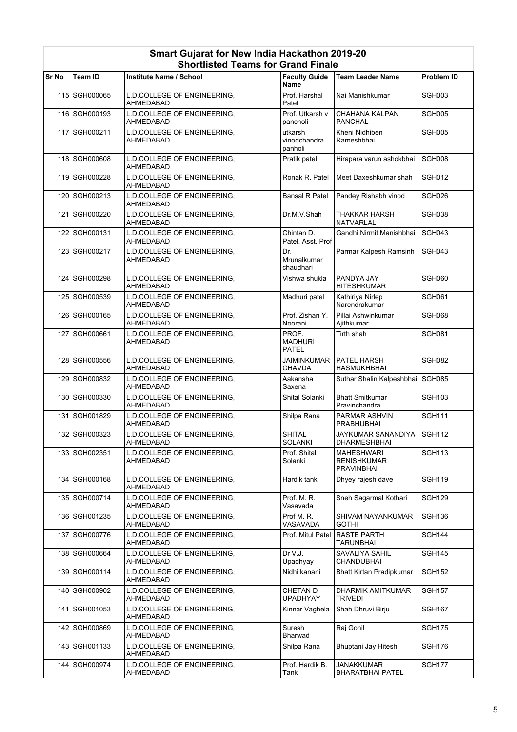|       |                 | Siloruisted Tealiis for Grafid Filiale          |                                         |                                                              |                   |
|-------|-----------------|-------------------------------------------------|-----------------------------------------|--------------------------------------------------------------|-------------------|
| Sr No | <b>Team ID</b>  | Institute Name / School                         | <b>Faculty Guide</b><br>Name            | <b>Team Leader Name</b>                                      | <b>Problem ID</b> |
|       | 115 SGH000065   | L.D.COLLEGE OF ENGINEERING,<br><b>AHMEDABAD</b> | Prof. Harshal<br>Patel                  | Nai Manishkumar                                              | SGH003            |
|       | 116 SGH000193   | L.D.COLLEGE OF ENGINEERING,<br>AHMEDABAD        | Prof. Utkarsh v<br>pancholi             | CHAHANA KALPAN<br><b>PANCHAL</b>                             | <b>SGH005</b>     |
|       | 117 SGH000211   | L.D.COLLEGE OF ENGINEERING,<br>AHMEDABAD        | utkarsh<br>vinodchandra<br>panholi      | Kheni Nidhiben<br>Rameshbhai                                 | SGH005            |
|       | 118 SGH000608   | L.D.COLLEGE OF ENGINEERING.<br>AHMEDABAD        | Pratik patel                            | Hirapara varun ashokbhai                                     | SGH008            |
|       | 119 SGH000228   | L.D.COLLEGE OF ENGINEERING,<br>AHMEDABAD        | Ronak R. Patel                          | Meet Daxeshkumar shah                                        | SGH012            |
|       | 120 SGH000213   | L.D.COLLEGE OF ENGINEERING,<br>AHMEDABAD        | <b>Bansal R Patel</b>                   | Pandey Rishabh vinod                                         | SGH026            |
|       | 121 SGH000220   | L.D.COLLEGE OF ENGINEERING,<br>AHMEDABAD        | Dr.M.V.Shah                             | <b>THAKKAR HARSH</b><br>NATVARLAL                            | <b>SGH038</b>     |
|       | 122 SGH000131   | L.D.COLLEGE OF ENGINEERING.<br>AHMEDABAD        | Chintan D.<br>Patel, Asst. Prof         | Gandhi Nirmit Manishbhai                                     | <b>SGH043</b>     |
|       | 123 SGH000217   | L.D.COLLEGE OF ENGINEERING,<br>AHMEDABAD        | Dr.<br>Mrunalkumar<br>chaudhari         | Parmar Kalpesh Ramsinh                                       | SGH043            |
|       | 124 SGH000298   | L.D.COLLEGE OF ENGINEERING.<br><b>AHMEDABAD</b> | Vishwa shukla                           | PANDYA JAY<br><b>HITESHKUMAR</b>                             | <b>SGH060</b>     |
|       | 125 SGH000539   | L.D.COLLEGE OF ENGINEERING.<br>AHMEDABAD        | Madhuri patel                           | Kathiriya Nirlep<br>Narendrakumar                            | <b>SGH061</b>     |
|       | 126 SGH000165   | L.D.COLLEGE OF ENGINEERING.<br>AHMEDABAD        | Prof. Zishan Y.<br>Noorani              | Pillai Ashwinkumar<br>Ajithkumar                             | SGH068            |
|       | 127 SGH000661   | L.D.COLLEGE OF ENGINEERING,<br>AHMEDABAD        | PROF.<br><b>MADHURI</b><br><b>PATEL</b> | Tirth shah                                                   | <b>SGH081</b>     |
|       | 128 SGH000556   | L.D.COLLEGE OF ENGINEERING.<br>AHMEDABAD        | <b>JAIMINKUMAR</b><br><b>CHAVDA</b>     | PATEL HARSH<br>HASMUKHBHAI                                   | <b>SGH082</b>     |
|       | 129 SGH000832   | L.D.COLLEGE OF ENGINEERING,<br>AHMEDABAD        | Aakansha<br>Saxena                      | Suthar Shalin Kalpeshbhai                                    | SGH085            |
|       | 130 SGH000330   | L.D.COLLEGE OF ENGINEERING.<br>AHMEDABAD        | Shital Solanki                          | <b>Bhatt Smitkumar</b><br>Pravinchandra                      | <b>SGH103</b>     |
|       | 131 SGH001829   | L.D.COLLEGE OF ENGINEERING,<br>AHMEDABAD        | Shilpa Rana                             | PARMAR ASHVIN<br><b>PRABHUBHAI</b>                           | <b>SGH111</b>     |
|       | 132 SGH000323   | L.D.COLLEGE OF ENGINEERING,<br>AHMEDABAD        | <b>SHITAL</b><br><b>SOLANKI</b>         | JAYKUMAR SANANDIYA<br><b>DHARMESHBHAI</b>                    | <b>SGH112</b>     |
|       | 133 SGH002351   | L.D.COLLEGE OF ENGINEERING.<br>AHMEDABAD        | Prof. Shital<br>Solanki                 | <b>MAHESHWARI</b><br><b>RENISHKUMAR</b><br><b>PRAVINBHAI</b> | <b>SGH113</b>     |
|       | 134   SGH000168 | L.D.COLLEGE OF ENGINEERING,<br>AHMEDABAD        | Hardik tank                             | Dhyey rajesh dave                                            | SGH119            |
|       | 135 SGH000714   | L.D.COLLEGE OF ENGINEERING,<br>AHMEDABAD        | Prof. M. R.<br>Vasavada                 | Sneh Sagarmal Kothari                                        | SGH129            |
|       | 136 SGH001235   | L.D.COLLEGE OF ENGINEERING,<br>AHMEDABAD        | Prof M.R.<br>VASAVADA                   | SHIVAM NAYANKUMAR<br><b>GOTHI</b>                            | <b>SGH136</b>     |
|       | 137 SGH000776   | L.D.COLLEGE OF ENGINEERING,<br>AHMEDABAD        | Prof. Mitul Patel                       | <b>RASTE PARTH</b><br><b>TARUNBHAI</b>                       | <b>SGH144</b>     |
|       | 138 SGH000664   | L.D.COLLEGE OF ENGINEERING.<br>AHMEDABAD        | Dr V.J.<br>Upadhyay                     | SAVALIYA SAHIL<br><b>CHANDUBHAI</b>                          | <b>SGH145</b>     |
|       | 139 SGH000114   | L.D.COLLEGE OF ENGINEERING.<br>AHMEDABAD        | Nidhi kanani                            | <b>Bhatt Kirtan Pradipkumar</b>                              | <b>SGH152</b>     |
|       | 140 SGH000902   | L.D.COLLEGE OF ENGINEERING,<br>AHMEDABAD        | <b>CHETAN D</b><br><b>UPADHYAY</b>      | DHARMIK AMITKUMAR<br>TRIVEDI                                 | <b>SGH157</b>     |
|       | 141 SGH001053   | L.D.COLLEGE OF ENGINEERING,<br>AHMEDABAD        | Kinnar Vaghela                          | Shah Dhruvi Birju                                            | <b>SGH167</b>     |
|       | 142 SGH000869   | L.D.COLLEGE OF ENGINEERING,<br>AHMEDABAD        | Suresh<br>Bharwad                       | Raj Gohil                                                    | <b>SGH175</b>     |
|       | 143 SGH001133   | L.D.COLLEGE OF ENGINEERING,<br>AHMEDABAD        | Shilpa Rana                             | Bhuptani Jay Hitesh                                          | SGH176            |
|       | 144 SGH000974   | L.D.COLLEGE OF ENGINEERING,<br>AHMEDABAD        | Prof. Hardik B.<br>Tank                 | JANAKKUMAR<br><b>BHARATBHAI PATEL</b>                        | <b>SGH177</b>     |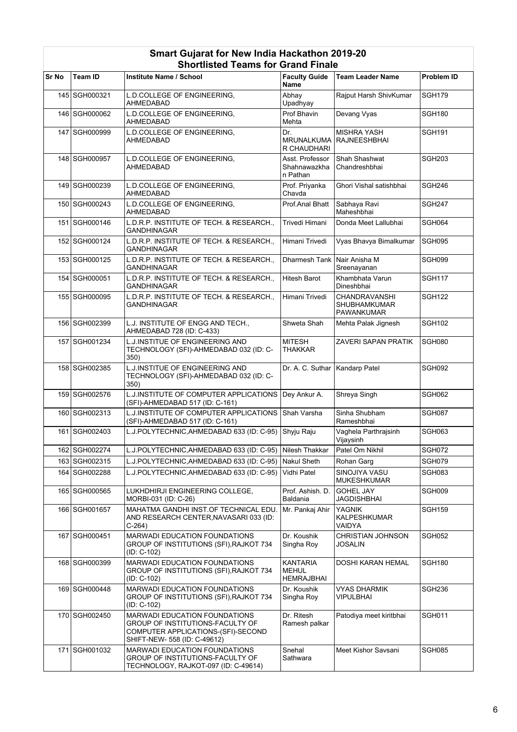|       |                 | Silvitiisteu Tealiis IVI Grafiu Filiale                                                                                                 |                                                      |                                                           |                   |
|-------|-----------------|-----------------------------------------------------------------------------------------------------------------------------------------|------------------------------------------------------|-----------------------------------------------------------|-------------------|
| Sr No | <b>Team ID</b>  | <b>Institute Name / School</b>                                                                                                          | <b>Faculty Guide</b><br>Name                         | <b>Team Leader Name</b>                                   | <b>Problem ID</b> |
|       | 145 SGH000321   | L.D.COLLEGE OF ENGINEERING,<br>AHMEDABAD                                                                                                | Abhay<br>Upadhyay                                    | Rajput Harsh ShivKumar                                    | <b>SGH179</b>     |
|       | 146 SGH000062   | L.D.COLLEGE OF ENGINEERING,<br>AHMEDABAD                                                                                                | Prof Bhavin<br>Mehta                                 | Devang Vyas                                               | <b>SGH180</b>     |
|       | 147 SGH000999   | L.D.COLLEGE OF ENGINEERING,<br>AHMEDABAD                                                                                                | Dr.<br>MRUNALKUMA<br>R CHAUDHARI                     | <b>MISHRA YASH</b><br><b>RAJNEESHBHAI</b>                 | <b>SGH191</b>     |
|       | 148 SGH000957   | L.D.COLLEGE OF ENGINEERING,<br>AHMEDABAD                                                                                                | Asst. Professor<br>Shahnawazkha<br>n Pathan          | Shah Shashwat<br>Chandreshbhai                            | <b>SGH203</b>     |
|       | 149 SGH000239   | L.D.COLLEGE OF ENGINEERING,<br><b>AHMEDABAD</b>                                                                                         | Prof. Priyanka<br>Chavda                             | Ghori Vishal satishbhai                                   | <b>SGH246</b>     |
|       | 150 SGH000243   | L.D.COLLEGE OF ENGINEERING.<br>AHMEDABAD                                                                                                | Prof.Anal Bhatt                                      | Sabhaya Ravi<br>Maheshbhai                                | <b>SGH247</b>     |
|       | 151 SGH000146   | L.D.R.P. INSTITUTE OF TECH. & RESEARCH.,<br>GANDHINAGAR                                                                                 | Trivedi Himani                                       | Donda Meet Lallubhai                                      | SGH064            |
|       | 152 SGH000124   | L.D.R.P. INSTITUTE OF TECH. & RESEARCH.,<br><b>GANDHINAGAR</b>                                                                          | Himani Trivedi                                       | Vyas Bhavya Bimalkumar                                    | <b>SGH095</b>     |
|       | 153 SGH000125   | L.D.R.P. INSTITUTE OF TECH. & RESEARCH.,<br><b>GANDHINAGAR</b>                                                                          | Dharmesh Tank                                        | Nair Anisha M<br>Sreenayanan                              | SGH099            |
|       | 154 SGH000051   | L.D.R.P. INSTITUTE OF TECH. & RESEARCH.,<br><b>GANDHINAGAR</b>                                                                          | <b>Hitesh Barot</b>                                  | Khambhata Varun<br>Dineshbhai                             | <b>SGH117</b>     |
|       | 155 SGH000095   | L.D.R.P. INSTITUTE OF TECH. & RESEARCH.,<br><b>GANDHINAGAR</b>                                                                          | Himani Trivedi                                       | CHANDRAVANSHI<br><b>SHUBHAMKUMAR</b><br><b>PAWANKUMAR</b> | <b>SGH122</b>     |
|       | 156 SGH002399   | L.J. INSTITUTE OF ENGG AND TECH.,<br>AHMEDABAD 728 (ID: C-433)                                                                          | Shweta Shah                                          | Mehta Palak Jignesh                                       | <b>SGH102</b>     |
|       | 157 SGH001234   | <b>L.J.INSTITUE OF ENGINEERING AND</b><br>TECHNOLOGY (SFI)-AHMEDABAD 032 (ID: C-<br>350)                                                | <b>MITESH</b><br>THAKKAR                             | <b>ZAVERI SAPAN PRATIK</b>                                | <b>SGH080</b>     |
|       | 158 SGH002385   | <b>L.J.INSTITUE OF ENGINEERING AND</b><br>TECHNOLOGY (SFI)-AHMEDABAD 032 (ID: C-<br>350)                                                | Dr. A. C. Suthar                                     | Kandarp Patel                                             | <b>SGH092</b>     |
|       | 159 SGH002576   | L.J.INSTITUTE OF COMPUTER APPLICATIONS<br>(SFI)-AHMEDABAD 517 (ID: C-161)                                                               | Dey Ankur A.                                         | Shreya Singh                                              | <b>SGH062</b>     |
|       | 160 SGH002313   | L.J.INSTITUTE OF COMPUTER APPLICATIONS<br>(SFI)-AHMEDABAD 517 (ID: C-161)                                                               | Shah Varsha                                          | Sinha Shubham<br>Rameshbhai                               | SGH087            |
|       | 161   SGH002403 | L.J.POLYTECHNIC, AHMEDABAD 633 (ID: C-95)                                                                                               | Shyju Raju                                           | Vaghela Parthrajsinh<br>Vijaysinh                         | SGH063            |
|       | 162 SGH002274   | L.J.POLYTECHNIC, AHMEDABAD 633 (ID: C-95) Nilesh Thakkar                                                                                |                                                      | Patel Om Nikhil                                           | SGH072            |
|       | 163 SGH002315   | L.J.POLYTECHNIC, AHMEDABAD 633 (ID: C-95)                                                                                               | Nakul Sheth                                          | Rohan Garg                                                | SGH079            |
|       | 164   SGH002288 | L.J.POLYTECHNIC, AHMEDABAD 633 (ID: C-95)                                                                                               | Vidhi Patel                                          | SINOJIYA VASU<br><b>MUKESHKUMAR</b>                       | <b>SGH083</b>     |
|       | 165 SGH000565   | LUKHDHIRJI ENGINEERING COLLEGE,<br>MORBI-031 (ID: C-26)                                                                                 | Prof. Ashish. D.<br><b>Baldania</b>                  | <b>GOHEL JAY</b><br><b>JAGDISHBHAI</b>                    | SGH009            |
|       | 166 SGH001657   | MAHATMA GANDHI INST.OF TECHNICAL EDU.<br>AND RESEARCH CENTER, NAVASARI 033 (ID:<br>C-264)                                               | Mr. Pankaj Ahir                                      | YAGNIK<br>KALPESHKUMAR<br>VAIDYA                          | <b>SGH159</b>     |
|       | 167   SGH000451 | <b>MARWADI EDUCATION FOUNDATIONS</b><br>GROUP OF INSTITUTIONS (SFI), RAJKOT 734<br>(ID: C-102)                                          | Dr. Koushik<br>Singha Roy                            | <b>CHRISTIAN JOHNSON</b><br><b>JOSALIN</b>                | <b>SGH052</b>     |
|       | 168 SGH000399   | <b>MARWADI EDUCATION FOUNDATIONS</b><br>GROUP OF INSTITUTIONS (SFI), RAJKOT 734<br>(ID: C-102)                                          | <b>KANTARIA</b><br><b>MEHUL</b><br><b>HEMRAJBHAI</b> | <b>DOSHI KARAN HEMAL</b>                                  | <b>SGH180</b>     |
|       | 169 SGH000448   | MARWADI EDUCATION FOUNDATIONS<br>GROUP OF INSTITUTIONS (SFI), RAJKOT 734<br>$(ID: C-102)$                                               | Dr. Koushik<br>Singha Roy                            | <b>VYAS DHARMIK</b><br><b>VIPULBHAI</b>                   | <b>SGH236</b>     |
|       | 170 SGH002450   | MARWADI EDUCATION FOUNDATIONS<br>GROUP OF INSTITUTIONS-FACULTY OF<br>COMPUTER APPLICATIONS-(SFI)-SECOND<br>SHIFT-NEW- 558 (ID: C-49612) | Dr. Ritesh<br>Ramesh palkar                          | Patodiya meet kiritbhai                                   | <b>SGH011</b>     |
|       | 171 SGH001032   | <b>MARWADI EDUCATION FOUNDATIONS</b><br>GROUP OF INSTITUTIONS-FACULTY OF<br>TECHNOLOGY, RAJKOT-097 (ID: C-49614)                        | Snehal<br>Sathwara                                   | Meet Kishor Savsani                                       | <b>SGH085</b>     |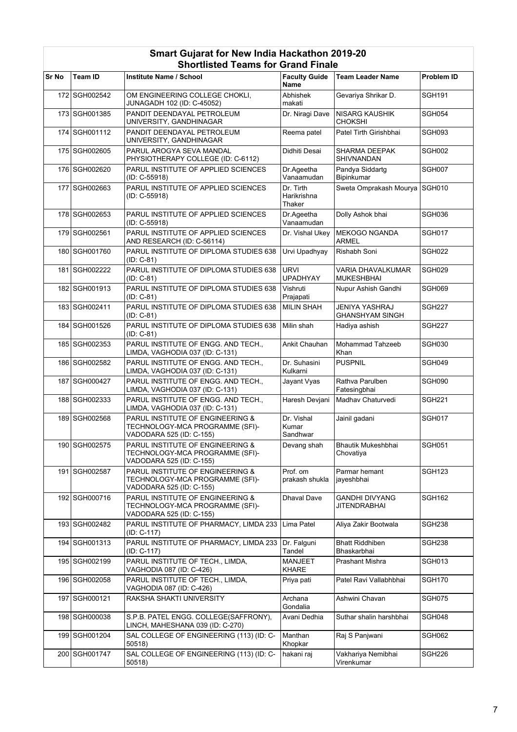|              |                 | onoruisteu Teams for Granu Finale                                                               |                                     |                                                 |                   |
|--------------|-----------------|-------------------------------------------------------------------------------------------------|-------------------------------------|-------------------------------------------------|-------------------|
| <b>Sr No</b> | <b>Team ID</b>  | Institute Name / School                                                                         | <b>Faculty Guide</b><br><b>Name</b> | <b>Team Leader Name</b>                         | <b>Problem ID</b> |
|              | 172 SGH002542   | OM ENGINEERING COLLEGE CHOKLI,<br>JUNAGADH 102 (ID: C-45052)                                    | Abhishek<br>makati                  | Gevariya Shrikar D.                             | <b>SGH191</b>     |
|              | 173 SGH001385   | PANDIT DEENDAYAL PETROLEUM<br>UNIVERSITY, GANDHINAGAR                                           | Dr. Niragi Dave                     | <b>NISARG KAUSHIK</b><br><b>CHOKSHI</b>         | SGH054            |
|              | 174 SGH001112   | PANDIT DEENDAYAL PETROLEUM<br>UNIVERSITY, GANDHINAGAR                                           | Reema patel                         | Patel Tirth Girishbhai                          | SGH093            |
|              | 175 SGH002605   | PARUL AROGYA SEVA MANDAL<br>PHYSIOTHERAPY COLLEGE (ID: C-6112)                                  | Didhiti Desai                       | SHARMA DEEPAK<br>SHIVNANDAN                     | SGH002            |
|              | 176 SGH002620   | PARUL INSTITUTE OF APPLIED SCIENCES<br>(ID: C-55918)                                            | Dr.Ageetha<br>Vanaamudan            | Pandya Siddartg<br>Bipinkumar                   | SGH007            |
|              | 177 SGH002663   | PARUL INSTITUTE OF APPLIED SCIENCES<br>(ID: C-55918)                                            | Dr. Tirth<br>Harikrishna<br>Thaker  | Sweta Omprakash Mourya SGH010                   |                   |
|              | 178 SGH002653   | PARUL INSTITUTE OF APPLIED SCIENCES<br>(ID: C-55918)                                            | Dr.Ageetha<br>Vanaamudan            | Dolly Ashok bhai                                | SGH036            |
|              | 179 SGH002561   | PARUL INSTITUTE OF APPLIED SCIENCES<br>AND RESEARCH (ID: C-56114)                               | Dr. Vishal Ukey                     | <b>MEKOGO NGANDA</b><br><b>ARMEL</b>            | <b>SGH017</b>     |
|              | 180 SGH001760   | PARUL INSTITUTE OF DIPLOMA STUDIES 638<br>(ID: C-81)                                            | Urvi Upadhyay                       | Rishabh Soni                                    | <b>SGH022</b>     |
|              | 181   SGH002222 | PARUL INSTITUTE OF DIPLOMA STUDIES 638<br>$(ID: C-81)$                                          | <b>URVI</b><br><b>UPADHYAY</b>      | <b>VARIA DHAVALKUMAR</b><br><b>MUKESHBHAI</b>   | SGH029            |
|              | 182 SGH001913   | PARUL INSTITUTE OF DIPLOMA STUDIES 638<br>$(ID: C-81)$                                          | Vishruti<br>Prajapati               | Nupur Ashish Gandhi                             | SGH069            |
|              | 183 SGH002411   | PARUL INSTITUTE OF DIPLOMA STUDIES 638<br>(ID: C-81)                                            | <b>MILIN SHAH</b>                   | <b>JENIYA YASHRAJ</b><br><b>GHANSHYAM SINGH</b> | <b>SGH227</b>     |
|              | 184 SGH001526   | PARUL INSTITUTE OF DIPLOMA STUDIES 638<br>$(ID: C-81)$                                          | Milin shah                          | Hadiya ashish                                   | SGH227            |
|              | 185 SGH002353   | PARUL INSTITUTE OF ENGG. AND TECH.,<br>LIMDA, VAGHODIA 037 (ID: C-131)                          | Ankit Chauhan                       | Mohammad Tahzeeb<br>Khan                        | SGH030            |
|              | 186 SGH002582   | PARUL INSTITUTE OF ENGG. AND TECH.,<br>LIMDA, VAGHODIA 037 (ID: C-131)                          | Dr. Suhasini<br>Kulkarni            | <b>PUSPNIL</b>                                  | SGH049            |
|              | 187   SGH000427 | PARUL INSTITUTE OF ENGG. AND TECH.,<br>LIMDA, VAGHODIA 037 (ID: C-131)                          | Jayant Vyas                         | Rathva Parulben<br>Fatesingbhai                 | SGH090            |
|              | 188 SGH002333   | PARUL INSTITUTE OF ENGG. AND TECH.,<br>LIMDA, VAGHODIA 037 (ID: C-131)                          | Haresh Devjani                      | Madhav Chaturvedi                               | <b>SGH221</b>     |
|              | 189 SGH002568   | PARUL INSTITUTE OF ENGINEERING &<br>TECHNOLOGY-MCA PROGRAMME (SFI)-<br>VADODARA 525 (ID: C-155) | Dr. Vishal<br>Kumar<br>Sandhwar     | Jainil gadani                                   | SGH017            |
|              | 190 SGH002575   | PARUL INSTITUTE OF ENGINEERING &<br>TECHNOLOGY-MCA PROGRAMME (SFI)-<br>VADODARA 525 (ID: C-155) | Devang shah                         | Bhautik Mukeshbhai<br>Chovatiya                 | <b>SGH051</b>     |
|              | 191   SGH002587 | PARUL INSTITUTE OF ENGINEERING &<br>TECHNOLOGY-MCA PROGRAMME (SFI)-<br>VADODARA 525 (ID: C-155) | Prof. om<br>prakash shukla          | Parmar hemant<br>jayeshbhai                     | <b>SGH123</b>     |
|              | 192 SGH000716   | PARUL INSTITUTE OF ENGINEERING &<br>TECHNOLOGY-MCA PROGRAMME (SFI)-<br>VADODARA 525 (ID: C-155) | Dhaval Dave                         | GANDHI DIVYANG<br><b>JITENDRABHAI</b>           | <b>SGH162</b>     |
|              | 193 SGH002482   | PARUL INSTITUTE OF PHARMACY, LIMDA 233<br>$(ID: C-117)$                                         | Lima Patel                          | Aliya Zakir Bootwala                            | SGH238            |
|              | 194   SGH001313 | PARUL INSTITUTE OF PHARMACY, LIMDA 233<br>(ID: C-117)                                           | Dr. Falguni<br>Tandel               | <b>Bhatt Riddhiben</b><br>Bhaskarbhai           | SGH238            |
|              | 195   SGH002199 | PARUL INSTITUTE OF TECH., LIMDA,<br>VAGHODIA 087 (ID: C-426)                                    | <b>MANJEET</b><br><b>KHARE</b>      | Prashant Mishra                                 | <b>SGH013</b>     |
|              | 196 SGH002058   | PARUL INSTITUTE OF TECH., LIMDA,<br>VAGHODIA 087 (ID: C-426)                                    | Priya pati                          | Patel Ravi Vallabhbhai                          | <b>SGH170</b>     |
|              | 197   SGH000121 | RAKSHA SHAKTI UNIVERSITY                                                                        | Archana<br>Gondalia                 | Ashwini Chavan                                  | SGH075            |
|              | 198 SGH000038   | S.P.B. PATEL ENGG. COLLEGE(SAFFRONY),<br>LINCH, MAHESHANA 039 (ID: C-270)                       | Avani Dedhia                        | Suthar shalin harshbhai                         | SGH048            |
|              | 199 SGH001204   | SAL COLLEGE OF ENGINEERING (113) (ID: C-<br>50518)                                              | Manthan<br>Khopkar                  | Raj S Panjwani                                  | SGH062            |
|              | 200 SGH001747   | SAL COLLEGE OF ENGINEERING (113) (ID: C-<br>50518)                                              | hakani raj                          | Vakhariya Nemibhai<br>Virenkumar                | SGH226            |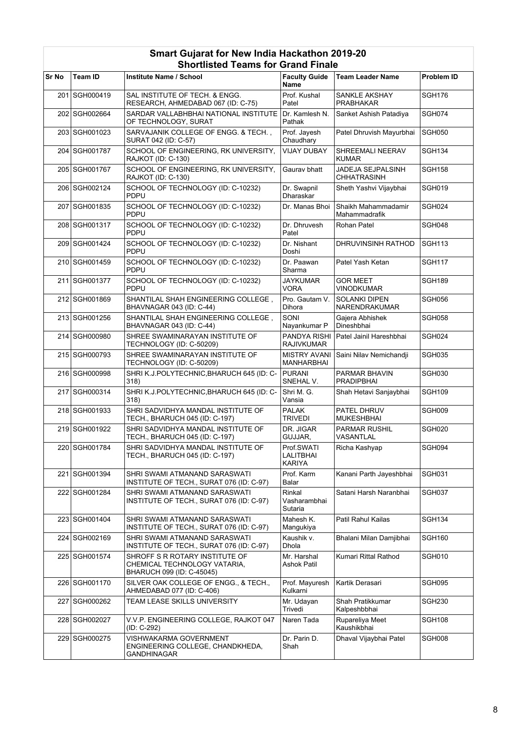|       |                 | onorustea Teams IVI Oranu Finale                                                            |                                          |                                         |                   |
|-------|-----------------|---------------------------------------------------------------------------------------------|------------------------------------------|-----------------------------------------|-------------------|
| Sr No | Team ID         | Institute Name / School                                                                     | <b>Faculty Guide</b><br>Name             | Team Leader Name                        | <b>Problem ID</b> |
|       | 201 SGH000419   | SAL INSTITUTE OF TECH. & ENGG.<br>RESEARCH, AHMEDABAD 067 (ID: C-75)                        | Prof. Kushal<br>Patel                    | SANKLE AKSHAY<br><b>PRABHAKAR</b>       | <b>SGH176</b>     |
|       | 202 SGH002664   | SARDAR VALLABHBHAI NATIONAL INSTITUTE<br>OF TECHNOLOGY, SURAT                               | Dr. Kamlesh N.<br>Pathak                 | Sanket Ashish Patadiya                  | SGH074            |
|       | 203 SGH001023   | SARVAJANIK COLLEGE OF ENGG. & TECH.,<br>SURAT 042 (ID: C-57)                                | Prof. Jayesh<br>Chaudhary                | Patel Dhruvish Mayurbhai                | <b>SGH050</b>     |
|       | 204 SGH001787   | SCHOOL OF ENGINEERING, RK UNIVERSITY,<br>RAJKOT (ID: C-130)                                 | <b>VIJAY DUBAY</b>                       | SHREEMALI NEERAV<br><b>KUMAR</b>        | <b>SGH134</b>     |
|       | 205 SGH001767   | SCHOOL OF ENGINEERING, RK UNIVERSITY,<br>RAJKOT (ID: C-130)                                 | Gaurav bhatt                             | JADEJA SEJPALSINH<br><b>CHHATRASINH</b> | <b>SGH158</b>     |
|       | 206 SGH002124   | SCHOOL OF TECHNOLOGY (ID: C-10232)<br>PDPU                                                  | Dr. Swapnil<br>Dharaskar                 | Sheth Yashvi Vijaybhai                  | <b>SGH019</b>     |
|       | 207 SGH001835   | SCHOOL OF TECHNOLOGY (ID: C-10232)<br><b>PDPU</b>                                           | Dr. Manas Bhoi                           | Shaikh Mahammadamir<br>Mahammadrafik    | SGH024            |
|       | 208 SGH001317   | SCHOOL OF TECHNOLOGY (ID: C-10232)<br><b>PDPU</b>                                           | Dr. Dhruvesh<br>Patel                    | Rohan Patel                             | SGH048            |
|       | 209 SGH001424   | SCHOOL OF TECHNOLOGY (ID: C-10232)<br><b>PDPU</b>                                           | Dr. Nishant<br>Doshi                     | DHRUVINSINH RATHOD                      | <b>SGH113</b>     |
|       | 210 SGH001459   | SCHOOL OF TECHNOLOGY (ID: C-10232)<br>PDPU                                                  | Dr. Paawan<br>Sharma                     | Patel Yash Ketan                        | <b>SGH117</b>     |
|       | 211 SGH001377   | SCHOOL OF TECHNOLOGY (ID: C-10232)<br><b>PDPU</b>                                           | JAYKUMAR<br><b>VORA</b>                  | <b>GOR MEET</b><br><b>VINODKUMAR</b>    | <b>SGH189</b>     |
|       | 212 SGH001869   | SHANTILAL SHAH ENGINEERING COLLEGE,<br>BHAVNAGAR 043 (ID: C-44)                             | Pro. Gautam V.<br>Dihora                 | <b>SOLANKI DIPEN</b><br>NARENDRAKUMAR   | SGH056            |
|       | 213 SGH001256   | SHANTILAL SHAH ENGINEERING COLLEGE,<br>BHAVNAGAR 043 (ID: C-44)                             | SONI<br>Nayankumar P                     | Gaiera Abhishek<br>Dineshbhai           | SGH058            |
|       | 214 SGH000980   | SHREE SWAMINARAYAN INSTITUTE OF<br>TECHNOLOGY (ID: C-50209)                                 | <b>PANDYA RISHI</b><br><b>RAJIVKUMAR</b> | Patel Jainil Hareshbhai                 | SGH024            |
|       | 215 SGH000793   | SHREE SWAMINARAYAN INSTITUTE OF<br>TECHNOLOGY (ID: C-50209)                                 | <b>MISTRY AVANI</b><br><b>MANHARBHAI</b> | Saini Nilav Nemichandji                 | <b>SGH035</b>     |
|       | 216 SGH000998   | SHRI K.J.POLYTECHNIC, BHARUCH 645 (ID: C-<br>318)                                           | PURANI<br>SNEHAL V.                      | PARMAR BHAVIN<br><b>PRADIPBHAI</b>      | <b>SGH030</b>     |
|       | 217 SGH000314   | SHRI K.J.POLYTECHNIC, BHARUCH 645 (ID: C-<br>318)                                           | Shri M. G.<br>Vansia                     | Shah Hetavi Sanjaybhai                  | <b>SGH109</b>     |
|       | 218 SGH001933   | SHRI SADVIDHYA MANDAL INSTITUTE OF<br>TECH., BHARUCH 045 (ID: C-197)                        | <b>PALAK</b><br><b>TRIVEDI</b>           | PATEL DHRUV<br><b>MUKESHBHAI</b>        | SGH009            |
|       | 219 SGH001922   | SHRI SADVIDHYA MANDAL INSTITUTE OF<br>TECH., BHARUCH 045 (ID: C-197)                        | DR. JIGAR<br>GUJJAR,                     | <b>PARMAR RUSHIL</b><br>VASANTLAL       | <b>SGH020</b>     |
|       | 220 SGH001784   | SHRI SADVIDHYA MANDAL INSTITUTE OF<br>TECH., BHARUCH 045 (ID: C-197)                        | Prof.SWATI<br>LALITBHAI<br>KARIYA        | Richa Kashyap                           | SGH094            |
|       | 221   SGH001394 | SHRI SWAMI ATMANAND SARASWATI<br>INSTITUTE OF TECH., SURAT 076 (ID: C-97)                   | Prof. Karm<br>Balar                      | Kanani Parth Jayeshbhai                 | <b>SGH031</b>     |
|       | 222 SGH001284   | SHRI SWAMI ATMANAND SARASWATI<br>INSTITUTE OF TECH., SURAT 076 (ID: C-97)                   | Rinkal<br>Vasharambhai<br>Sutaria        | Satani Harsh Naranbhai                  | SGH037            |
|       | 223 SGH001404   | SHRI SWAMI ATMANAND SARASWATI<br>INSTITUTE OF TECH., SURAT 076 (ID: C-97)                   | Mahesh K.<br>Mangukiya                   | Patil Rahul Kailas                      | <b>SGH134</b>     |
|       | 224 SGH002169   | SHRI SWAMI ATMANAND SARASWATI<br>INSTITUTE OF TECH., SURAT 076 (ID: C-97)                   | Kaushik v.<br>Dhola                      | Bhalani Milan Damjibhai                 | <b>SGH160</b>     |
|       | 225 SGH001574   | SHROFF S R ROTARY INSTITUTE OF<br>CHEMICAL TECHNOLOGY VATARIA,<br>BHARUCH 099 (ID: C-45045) | Mr. Harshal<br><b>Ashok Patil</b>        | Kumari Rittal Rathod                    | <b>SGH010</b>     |
|       | 226 SGH001170   | SILVER OAK COLLEGE OF ENGG., & TECH.,<br>AHMEDABAD 077 (ID: C-406)                          | Prof. Mayuresh<br>Kulkarni               | Kartik Derasari                         | SGH095            |
|       | 227 SGH000262   | TEAM LEASE SKILLS UNIVERSITY                                                                | Mr. Udayan<br>Trivedi                    | Shah Pratikkumar<br>Kalpeshbbhai        | <b>SGH230</b>     |
|       | 228 SGH002027   | V.V.P. ENGINEERING COLLEGE, RAJKOT 047<br>(ID: C-292)                                       | Naren Tada                               | Rupareliya Meet<br>Kaushikbhai          | <b>SGH108</b>     |
|       | 229 SGH000275   | VISHWAKARMA GOVERNMENT<br>ENGINEERING COLLEGE, CHANDKHEDA,<br>GANDHINAGAR                   | Dr. Parin D.<br>Shah                     | Dhaval Vijaybhai Patel                  | SGH008            |